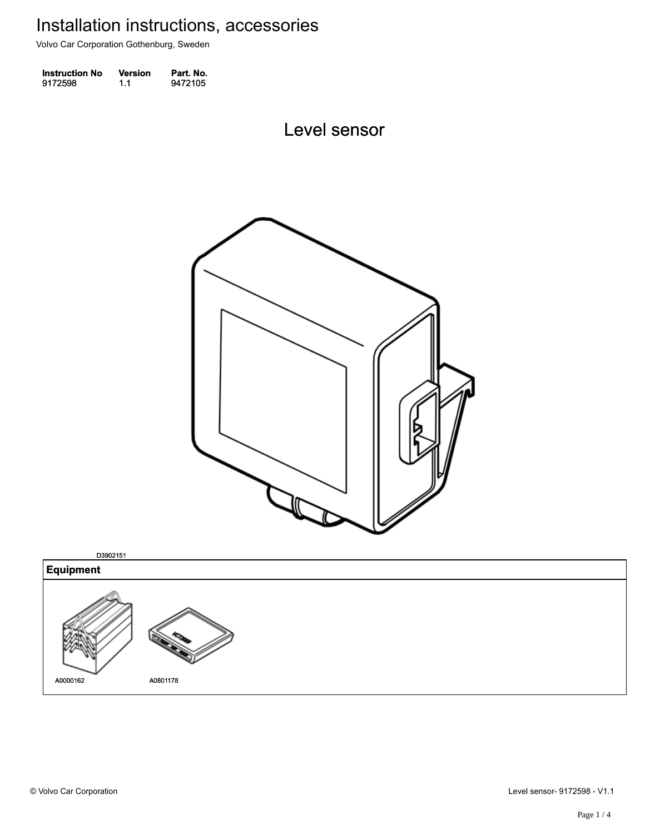Volvo Car Corporation Gothenburg, Sweden

| <b>Instruction No</b> | <b>Version</b> | Part. No. |
|-----------------------|----------------|-----------|
| 9172598               | 1.1            | 9472105   |

Level sensor Level sensor



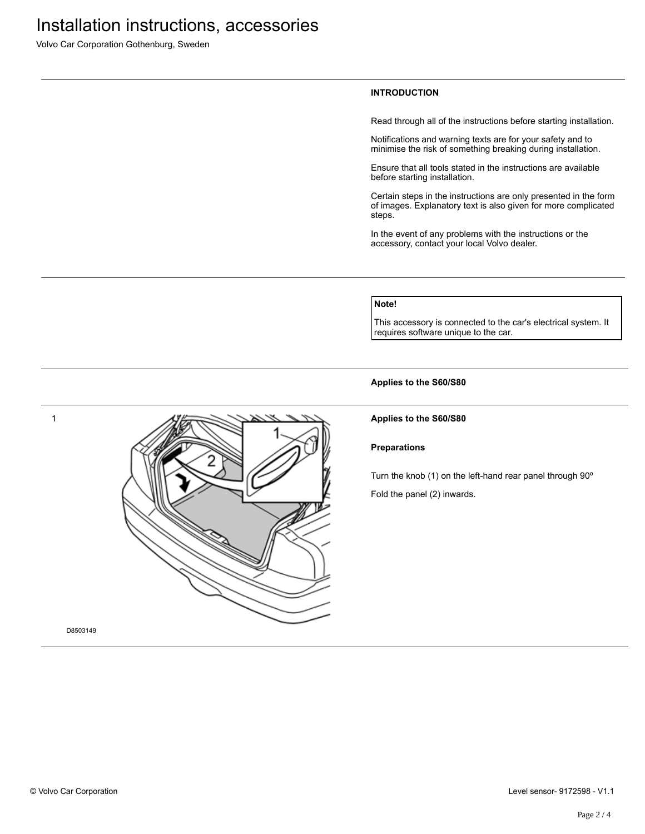Volvo Car Corporation Gothenburg, Sweden

### **INTRODUCTION**

Read through all of the instructions before starting installation.

Notifications and warning texts are for your safety and to minimise the risk of something breaking during installation.

Ensure that all tools stated in the instructions are available before starting installation.

Certain steps in the instructions are only presented in the form of images. Explanatory text is also given for more complicated steps.

In the event of any problems with the instructions or the accessory, contact your local Volvo dealer.

# **Note!**

This accessory is connected to the car's electrical system. It requires software unique to the car.

**Applies to the S60/S80**

1 D8503149

## **Applies to the S60/S80**

#### **Preparations**

Turn the knob (1) on the left-hand rear panel through 90º

Fold the panel (2) inwards.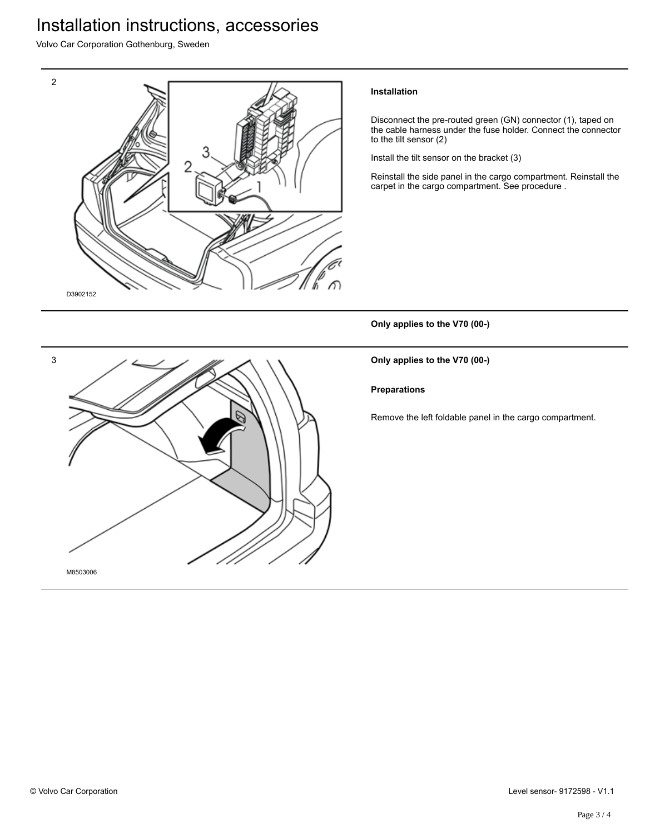# Installation instructions, accessories

Volvo Car Corporation Gothenburg, Sweden



## **Installation**

Disconnect the pre-routed green (GN) connector (1), taped on the cable harness under the fuse holder. Connect the connector to the tilt sensor (2)

Install the tilt sensor on the bracket (3)

Reinstall the side panel in the cargo compartment. Reinstall the carpet in the cargo compartment. See procedure .

**Only applies to the V70 (00-)**

**Only applies to the V70 (00-)**

**Preparations**

Remove the left foldable panel in the cargo compartment.